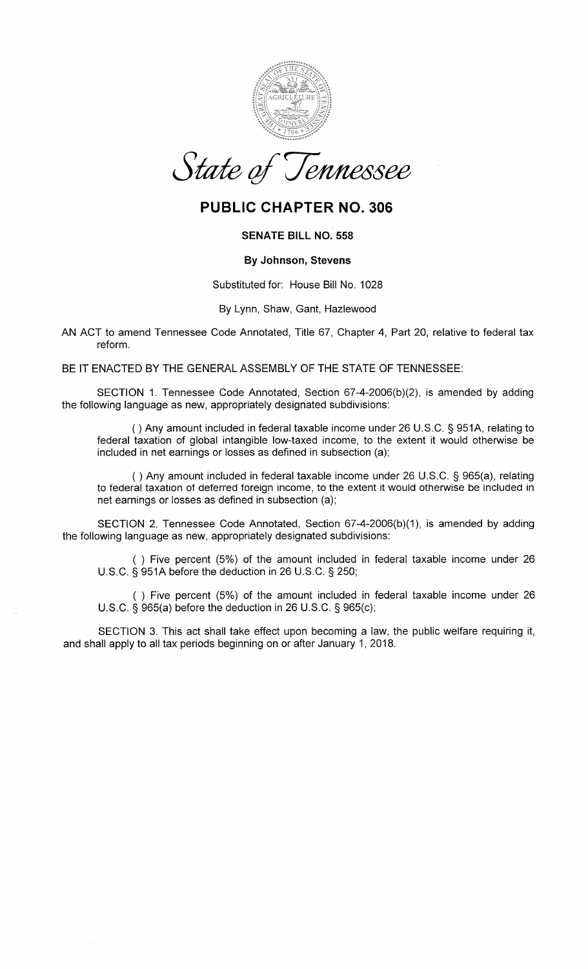

State of Jennessee

## PUBLIC CHAPTER NO. 306

### SENATE BILL NO. 558

#### By Johnson, Stevens

Substituted for: House Bill No. 1028

#### By Lynn, Shaw, Gant, Hazlewood

AN ACT to amend Tennessee Code Annotated, Title 67, Chapter 4, Part 20, relative to federal taxreform.

BE IT ENACTED BY THE GENERAL ASSEMBLY OF THE STATE OF TENNESSEE:

SECTION 1. Tennessee Code Annotated, Section 67-4-2006(b)(2), is amended by addingthe following language as new, appropriately designated subdivisions:

( ) Any amount included in federal taxable income under 26 U.S.C. S 9514, relating to federal taxation of global intangible low-taxed income, to the extent it would othenuise beincluded in net earnings or losses as defined in subsection (a);

( ) Any amount included in federal taxable income under 26 U.S.C. \$ 965(a), relating to federal taxation of deferred foreign income, to the extent it would othenruise be included innet earnings or losses as defined in subsection (a);

SECTION 2. Tennessee Code Annotated, Section 67-4-2O06(b)(1), is amended by addingthe following language as new, appropriately designated subdivisions:

( ) Five percent (5%) of the amount included in federal taxable income under 26U.S.C. S 9514 before the deduction in 26 U.S.C. S 250;

( ) Five percent (5%) of the amount included in federal taxable income under 26U.S.C. S 965(a) before the deduction in 26 U.S.C. S 965(c);

SECTION 3. This act shall take effect upon becoming a law, the public welfare requiring it, and shall apply to all tax periods beginning on or after January 1,2018.